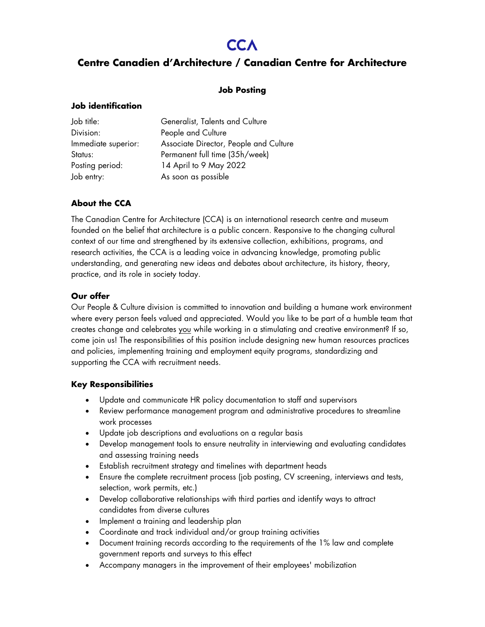# **CCA**

# **Centre Canadien d'Architecture / Canadian Centre for Architecture**

#### **Job Posting**

#### **Job identification**

| Job title:          | Generalist, Talents and Culture        |
|---------------------|----------------------------------------|
| Division:           | People and Culture                     |
| Immediate superior: | Associate Director, People and Culture |
| Status:             | Permanent full time (35h/week)         |
| Posting period:     | 14 April to 9 May 2022                 |
| Job entry:          | As soon as possible                    |

## **About the CCA**

The Canadian Centre for Architecture (CCA) is an international research centre and museum founded on the belief that architecture is a public concern. Responsive to the changing cultural context of our time and strengthened by its extensive collection, exhibitions, programs, and research activities, the CCA is a leading voice in advancing knowledge, promoting public understanding, and generating new ideas and debates about architecture, its history, theory, practice, and its role in society today.

#### **Our offer**

Our People & Culture division is committed to innovation and building a humane work environment where every person feels valued and appreciated. Would you like to be part of a humble team that creates change and celebrates you while working in a stimulating and creative environment? If so, come join us! The responsibilities of this position include designing new human resources practices and policies, implementing training and employment equity programs, standardizing and supporting the CCA with recruitment needs.

#### **Key Responsibilities**

- Update and communicate HR policy documentation to staff and supervisors
- Review performance management program and administrative procedures to streamline work processes
- Update job descriptions and evaluations on a regular basis
- Develop management tools to ensure neutrality in interviewing and evaluating candidates and assessing training needs
- Establish recruitment strategy and timelines with department heads
- Ensure the complete recruitment process (job posting, CV screening, interviews and tests, selection, work permits, etc.)
- Develop collaborative relationships with third parties and identify ways to attract candidates from diverse cultures
- Implement a training and leadership plan
- Coordinate and track individual and/or group training activities
- Document training records according to the requirements of the 1% law and complete government reports and surveys to this effect
- Accompany managers in the improvement of their employees' mobilization